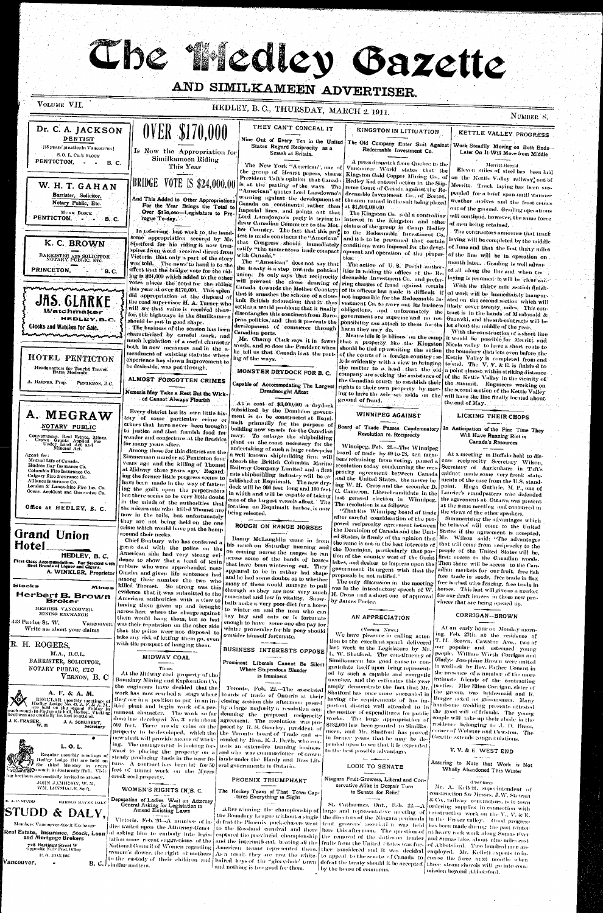The Medley Gazette

# AND SIMILKAMEEN ADVERTISER.

VOLUME VII.

#### HEDLEY, B. C., THURSDAY, MARCH 2. 1911. NUMBER 8. **OVER \$170,000** THEY CAN'T CONCEAL IT Dr. C. A. JACKSON KINGSTON IN LITIGATION KETTLE VALLEY PROGRESS Nine Out of Every Ten in the United The Old Company Enter Suit Against DENTIST Work Steadily Moving on Both Ends States Regard Reciprocity as a [18 years' practice in Vancouver.] Redeemable Investment Co. Is Now the Appropriation for Later On It Will Move from Middle Smash at Britain. S.O. L. Co.'s BLOCK Similkameen Riding PENTICTON, - -A press despatch from Quebec to the **B. C.** The New York "American", one of Merritt Herald This Year Vancouver World states that the Eleven miles of steel has been laid the group of Hearst papers, shares Kingston Gold Copper Mining Co., of President Taft's opinion that Canada on the Kettle Valley railway, out of **BRIDGE VOTE IS \$24,000.00** Hedley lad entered action in the Sup-W. H. T. GAHAN is at the parting of the ways. The Merritt. Track laying has been susreme Court of Canada against the Re-"American" quotes Lord Lansdowne's pended for a brief span antil warmer decmable Investment Co., of Boston, Barrister, Solicitor, warning against the development of And This Added to Other Appropriations the sum named in the suit being placed weather arrives and the frost comes Notary Public, Etc. Canada on continental rather than For the Year Brings the Total to | at \$1,500,000,00 | out of the ground. Grading operations Imperial lines, and points out that Over \$170,000-Legislature to Pro-The Kingston Co. sold a controlling MURK BLOCK Lord Lansdowne's party is trying to will continue, however, the same force PENTICTON, interest in the Kingston and other **B. C.** rogue To-day. draw Canadian Commerce to the Motof men being retained. claims of the group in Camp Hedley her Country. The fact that this pro-The contractors announce that track In referring. last week to the handto the Redeemable Investment Co. test is made convinces the "American" some appropriation secured by Mr. and it is to be presumed that certain laying will be completed by the middle that Congress should immediately Shatford for his riding it now tran-K. C. BROWN conditions were imposed for the develof June and that the first thirty miles ratify "the momentous trade compact spires from word received direct from opment and operation of the properof the line will be in operation on. BARRISTER AND SOLICITOR<br>NOTARY PUBLIC, Erc. with Canada." Victoria that only a part of the story The "American" does not say that month later. Grading is well advance was told. The news to hand is to the The action of U.S. Postal author the treaty is a step towards political effect that the bridge vote for the rid-PRINCETON, ities in raiding the offices of the Reed all along the line and when tra-**B.C.** union. It only says that reciprocity ing is \$24,000 which added to the other deemable Investment Co. and preferlaying is resumed/it will be "clear saidwill prevent the closer drawing of votes places the total for the riding ring charges of fraud against certain With the thirty mile section finish-Canada towards the Mother Country; this year at over \$170,000. This splen of its officers has made it difficult if ed work will be immediately imagenthat it smashes the scheme of a closedid appropriation at the disposal of not impossible for the Redeemable In-**JAS. GLARKE** knit British federation; that it thus vestment Co. to carry out its business ated on the second section which will the road supervisor H. A. Turner who likely cover twenty miles. This consettles a world problem; that it finally obligations, and unforunately the will see that value is received there **Watchmaker** disentangles this continent from Euro- government are supreme and no restract is in the hands of Macdonald & for, the highways in the Similkameer HEDLEY, B.C. pean politics, and that it prevents the Gzowski, and the sub-contracts will be ponsibility can attach to them for the should be put in good shape. let about the middle of the year. development of commerce through Glocks and Watches for Sale. The business of the session has been harm they may do. With the construction of a short line characterized by careful work, and Canadian ports. Meanwhile it is bilious on the camp it would be possible for Merritt and mentanan menanda Mr. Champ Clark says it in fewer that a property like the Kingston Nicola valley to have a short route to much legislation of a useful character words, and so does the President when should be tied up awaiting the action the boundary districts even before the both in new measures and in the ahe tell us that Canada is at the partmendment of existing statutes where of the courts of a foreign country : so Kettle Valley is completed from end HOTEL PENTICTON experience has shown improvement to ing of the ways. it is evidently with a view to bringing to end. The V. V. & E. is finished to be desirable, was put through. the matter to a head that the old a point almost within striking distance. Headquarters for Tourist Travel.<br>Rates Moderate. MONSTER DRYDOCK FOR B. C. company are seeking the assistance of of the Kettle Valley in the vicinity of ALMOST FORGOTTEN CRIMES the Canadian courts to establish their the summit. Engineers working on A. BARNES, Prop. PENTICTON, B.C. Capable of Accommodating The Largest rights to their own property by mov- the second section of the Kettle Valley Dreadnought Afloat Nemesis May Take a Rest But the Wicking to have the sale set aside on the will have the line finally located about ed Cannot Always Flourish ground of frand. the end of May. At a cost of \$3,000,000 a drydock and the state of subsidized by the Dominion govern-Every district has its own little his-A. MEGRAW WINNIPEG AGAINST ment is to be constructed at Esqui-LICKING THEIR CHOPS tory of some particular crime or malt primarily for the purpose of crimes that have never been brought Board of Trade Passes Condemnatory NOTARY PUBLIC In Anticipation of the Fine Time They building new vessels for the Canadian to justice and that furnish food for navy. To enlarge the shipbuilding Resolution re. Reciprocty Conveyancer, Real Estate, Mines,<br>Crown Grants Applied For<br>Under Land Act and<br>Mineral Act. Will Have Running Riot in wonder and conjecture at the firesides plant on the coast necessary for the Canada's Resources for many years after. Winnipeg, Feb. 22.-The Winnipeg undertaking of such a large enterprise Among those for this district are the board of trade by 69 to 13, ten mem-At a meeting in Buffalo held to disa well known shipbuilding firm will Zimmerman murder at Penticton four Agent for: bers refraining from voting, passed a Mutual Life of Canada. absorb the British Columbia Marine euss reciprocity Secretary Wilson, vears ago and the killing of Thomet resolution today condemning the reci-Hudson Bay Insurance Co. Railway Company Limited and a first Secretary of Agriculture in Taft's at Midway three years ago, Regard-Columbia Fire Insurance Co. procity agreement between Canada cabinet made some very frank staterate shipbuilding industry will be esing the former little progress seems to Calgary Fire Insurance Co.

Alliance Insurance Co. London & Lancashire Fire Ins. Co. Ocean Accident and Guarantee Co.

Office at HEDLEY, B. C.

### **Grand Union** Hotel

HEDLEY, B.C. First Class Accommodation. Bar Stocked with<br>Best Brands of Liquor and Cigars. A. WINKLER, Proprietor

Mines

Stocks

#### Herbert B. Brown Broker

MEMBER VANCOUVER MINING EXCHANGE

443 Pender St. W. Vancouver. Write me about your claims

R. H. ROGERS, M.A., B.C.L. BARRISTER, SOLICITOR. NOTARY PUBLIC, ETC VERNON, B. C

A. F. & A. M. REGULAR monthly meetings of<br>Hedley Lodge No. 43, A, F, & A, M,<br>are held on the second Friday in<br>brethren are cordially invited to attend. || Dregn.c..<br>| J. K. FRASER, ||<br>| W. M J. A. SCHUBERT, Secretarv



Regular monthly meetings of Hedley Lodge 1711 are held on B the third Monday in every **See 1920 month in Fraternity Hall. Visit** ing brethern are cordially invited to attend.

JOHN JAMIESON, W. M. WM, LONSDALE, See't.

E. A. C. STUDD нанопо мауке рабу **STUDD** & DALY,

Members Vancouver Stock Exchange

Real Estate, Insurance, Stock, Loan and Mortgage Brokers 728 Hastings Street W Opposite New Post Office P. 0, BOX 906

Vancouver,

have been made in the way of fastening the guilt upon the perpetrators but there seems to be very little doubt in the minds of the authorities that the miscreants who killed Thomet are now in the toils, but unfortunately they are not being held on the one crime which would have put the hemp

around their necks. Chief Bunbury who has conferred a great deal with the police on the American side had very strong evidence to show that a band of train robbers who were apprehended near Omaha and given life sentences had among their number the two who killed Thomet. So strong was this evidence that it was submitted to the American authorities with a view to having them given up and brought across here where the charge against them would hang them, but so bad was their reputation on the other side that the police were not disposed to take any risk of letting them go, even with the prospect of hanging them.

### MIDWAY COAL

Times

At the Midway coal property of the Boundary Mining and Exploration Co. the engineers have decided that the done has developed No. 3 vein about ugreement. The resolution was proproperty to be developed, which the the Toronto board of Trade and seing. The management is looking for- urols an extensive tauning business ward to placing the property on a and who was commissioner of crown steady producing basis in the near fu- lands under the Hardy and Ross Libture. A contract has been let for 50 eral governments in Ontario. feet of tunnel work on the Myers creek coal property.

WOMEN'S RIGHTS IN'B. C.

Deputation of Ladies Wait on Attorney General Asking for Legislation to Amend Existing Laws

Victoria, Feb. 26--A number of ladies waited upon the Attorney-Gener al asking him to embody into legis-B. C. I similar matters.

tablished at Esquimalt. The new dry. dock will be  $900$  feet long and  $100$  feet  $\Big|$  C. Cameron, Liberal candidate in the in width and will be capable of taking care of the largest vessels afloat. The location on Esquimalt harbor, is now being selected.

## ROUGH ON RANGE HORSES

Danny McLaughlin eame in from his ranch on Saturday morning and on coming across the ranges he ran across some of the bands of horses that have been wintering out. They appeared to be in rather bad shape and he had some doubts as to whether many of them would manage to pull through as they are now very much emaciated and low in vitality, Snowballs make a very poor diet for a horse to winter on and the man who can buy hay and oats or is fortunate enough to have some one else pay for winter provender for his pony should consider himself fortunate.

### **BUSINESS INTERESTS OPPOSE**

Prominent Liberals Cannot Be Silent Where Stupendous Blunder is Imminent

Toronto, Feb. 22 .-- The associated work has now reached a stage where boards of trade of Ontario at their they are in a -position to put  $\tilde{ }$  in an in-  $|$  closing -session this -afternoon -passed itial plant and begin work of a per- by a large majority a resolution conmanent character. The work so far demning the proposed reciprocity 500 feet. There are six veins on the posed by R. S. Gourley, president of new shaft will provide means of work- conded by Hon. E. J. Davis, who con-

### PHOENIX TRIUMPHANT

The Hockey Team of That Town Captures Everything in Sight

eaptured the provincial championship the removal of the daties on tender and Sumas lake, about nine miles east lation some recent suggestions of the and the international, beating all the fruits from the United States was fur- of Abbotsford. Two hundred men are National Council of Women regarding American teams represented there. ther considered and it was decided employed. Mr. Kellett expects to inwoman's dower, the right of mothers As a result they are now the white- to appeal to the senate of Canada to crease the force next month; when to the eastody of their children and baired boys of the "glory-hole' town defeat the treaty should it be accepted three steam shovels will go into comand nothing is too good for them.

and the United States, the mover be ments of the case from the U.S. standing W. H. Cross and the seconder D. point. Hugh Guthrie, M. P., one of last general election in Winnipeg. The resolution is as follows:

"That the Winnipeg board of trade after careful -consideration of the proposed reciprocity agreement between the Dominion of Canada and the United States, is firmly of the opinion that the same is not in the best interests of the Dominion, particularly that portion of the country west of the Great first: access to the Canadian woods. lakes, and desires to impress upon the Then there will be access to the Cangovernment its urgent wish that the proposals be not ratified."

was in the introductory speech of W. H. Cross and a short one of approval by James Porter.

### AN APPRECIATION

(Verhon News.) We have pleasure in calling atten tion to the excellent speach delivered last week in the Legislature by Mr. L. W. Shatford. The constituency of Similkameen has good cause-to-congratulate itself upon being represented by such a capable and energetic member, and the estimates this year amply demonstrate the fact that Mr. Shatford has once more succeeded in having the requirements of his important district well attended to in the matter of expenditures for public works. The large appropriation of \$132,000 has been granted to Similkameen, and Mr. Shatford has proved in former years that he may be depended upon to see that it is expended to the best possible advantage.

#### $\frac{1}{1} \frac{1}{1} \frac{1}{1} \frac{1}{1} \frac{1}{1} \frac{1}{1} \frac{1}{1} \frac{1}{1} \frac{1}{1} \frac{1}{1} \frac{1}{1} \frac{1}{1} \frac{1}{1} \frac{1}{1} \frac{1}{1} \frac{1}{1} \frac{1}{1} \frac{1}{1} \frac{1}{1} \frac{1}{1} \frac{1}{1} \frac{1}{1} \frac{1}{1} \frac{1}{1} \frac{1}{1} \frac{1}{1} \frac{1}{1} \frac{1}{1} \frac{1}{1} \frac{1}{1} \frac{1}{1} \frac{$ LOOK TO SENATE

-------

Niagara Fruit-Growers, Liberal and Conservative Alike in Despair Turn to Senate for Relief

St. Catharmes, Ont., Feb.  $22-A$  ordering supplies in connection with After winning the championship of large and representative meeting of construction work on the V., V. & E. to the Rossland carnival and there here this afternoon. The question of at heavy rock work along Sunns river Tby the house of commons.

Laurier's standpatters who defended the agreement at Ottawa was present at the same meeting and concurred in the views of the other speakers.

Summarizing the advantages which he believes' will come to the United States if the agreement is accepted, Mr. Wilson said: "The advantages that will come from reciprocity to the people of the United States will be. adian markets for our fruit, free fish free trade in seeds, free trade in flax

The only discussion in the meeting free barbed wire fencing, free trade in horses. This last will give us a market for our draft horses in those new provinces that are being opened up.

### CORRIGAN-BROWN

At an early hour on Monday morning. Feb. 27th, at the residence of T. H. Brown, Cawston Ave., two of one popular and esteemed young people. William Wiith Corrigan and Gladys Josephine Brown were united in wedlock by Rev. Father Conant in the presence of a number of the more intimate friends of the contracting parties. Miss Ellen Corrigan, sister of the groom, was bridesmaid and R. Burger acted as groomsman. Many handsome wedding presents attested the good will of friends. The young couple will take up their abode in the residence belonging to J. D. Brass. corner of Webster and Cawston. The Gazette extends congratulations.

#### V.V. & E. WEST END  $\sim$  -  $\sim$  -  $\sim$  -  $\sim$

Assuring to Note that Work is Not Wholly Abandoned This Winter

#### وأرداد فعالمتهم (Province)

Mr. A. Kellett, superintendent of construction for Messis. J.W. Stewart & Co., railway contractors, is in town

the Boundary League without a single | the directors of the Niagara peninsula | in the Fraser valley. Good progress defeat the Phoenix puck-chasers went fruit growers' association was held has been made during the past winter mission beyond Abbotsford.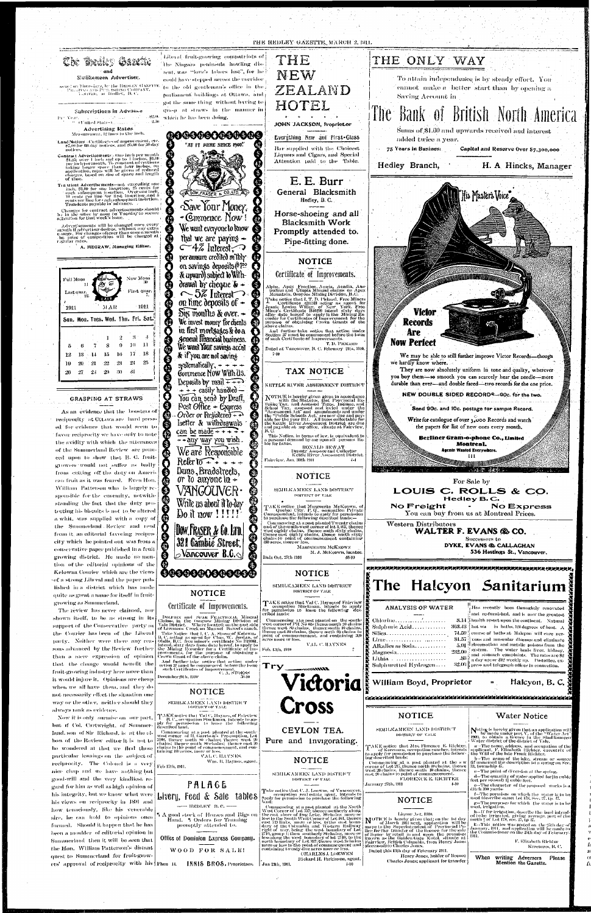

William Patterson who is largely responsible for the enormity, notwithstanding the fact that the duty protecting his biscuits is not to be altered a whit, was supplied with a copy of the Summerland Review and read from it an editorial favoring reciprocity which he pointed out was from a conservative paper published in a fruit growing district. He made no mention of the editorial opinions of the Kelowna Courier which are the views sof a strong Liberal and the paper published in a district which has made quite as great a name for itself in fruitgrowing as Summerland.

shown itself, to be as strong in its support of the Conservative party as the Courier has been of the Liberal party. Neither were there any reasons advanced by the Review further than a mere expression of opinion that the change would benefit the fruit-growing industry here more than it would injure it. Opinions are cheap when we all have them, and they do not necessarily effect the situation one way or the other, neither should they adways rank as evidence.

but if Col. Cartwright, of Summerland, son of Sir Richard, is at the elbow of the Review editor it is not to be wondered at that we find those particular leanings on the subject of reciprocity. The Colonel is a very nice chap and we have nothing but good-will and the very kindliest regard for him as well as high opinion of his integrity, but we know what were his views on reciprocity in 1891 and how tenaciously, like his venerable sire, he can hold to opinions once formed. Should it happen that he has been a moulder of editorial opinion in Summerland then it will be seen that the Hon. William Patterson's distant quest to Summerland for fruit-grow-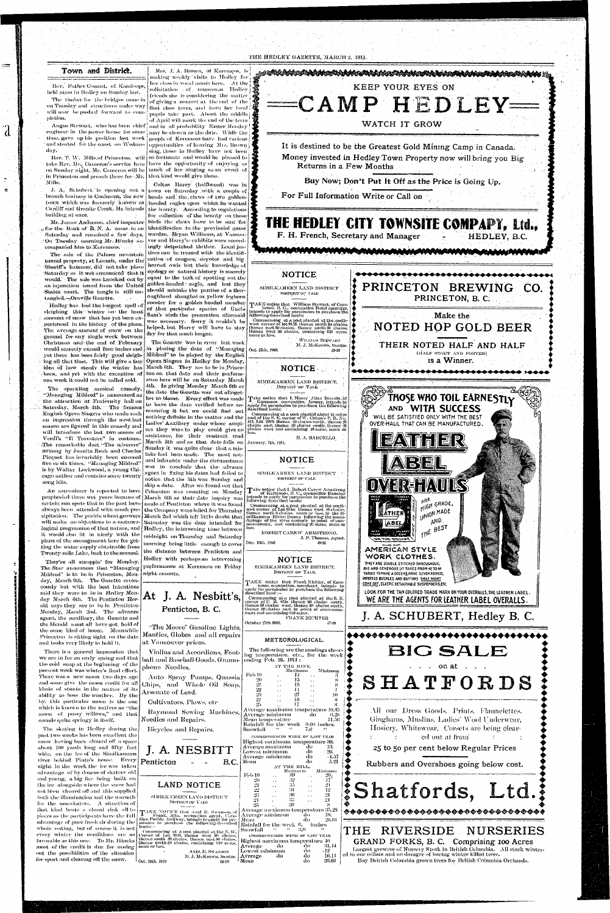### THE HEDLEY GAZETTE, MARCH 2. 1911.

•

 $=$ 

 $\mathbf d$ 

### Town and District.

Rev. Father Conant, of, Kamloops, held mass in Medley on Sunday lasl.

*Mrs.* J. A. Brown, of Keremeos, is making weekly visits to Hedley fori

The timber for the bridges caine in will now he pushed forward to completion.

Angus Stewart, who has been chief  $\frac{1}{2}$  and in all probability Easter Monday engineer in the power house for some  $\frac{1}{2}$  may be chosen as the date. While the time, gave up his position last week people of Keremeos have had various and started for the coast on Wednes- opportunities of hearing Mis. Brown day.

J. A. Schubert is opening out a town on Saturday with a couple of branch husiness in Coalmont, the new heads and the, claws of two goldentown which was formerly known as headed eagles upon which he wanted Cardiff and Granite Creek. He intends the bounty. According to regulations building at once.

 $\epsilon$  cfor the Bank of B. N. A. came in on didentification to the provincial game Saturday and remained a few days. On Tuesday morning Mr. Hincks accompanied him to Keremeos.

The sale of the Palmer mountain tunnel property, at Loomis, under the Sheriff's hammer, did not take place Saturday as it was announced that it would. The sale was knocked out by an injunction issued from the United States court. The tangle is still untangled.—Oroville Gazette.

," in Princeton and preach there for 3Jr. that kind would *give* them. Mills.

The sparkling musical comedy, "Managing Mildred" is announced as the attraction at Fraternity hall on Saturday, March 4th. The famous English Opera Singers who made such an impression through the west last season aro figured' in this comedy and will introduce the last two scenes of Verdi's "Il Trovatore" in costume. -The remarkable duet "The miserere"  $\pi$ sung by Juanita Rush and Charles Picquet has invariably been encored five or six times. "Managing Mildred" is by Walter Lockwood, a young Chicago author and contains some twenty song hits. An astronimer is reported to have **EXIT ASSECTED FIGURE CO RECEIVED FIGURE COUNTING TO MONDAY**<br>prophesied three wet years because of March 6th as their date inquiry was certain sun spots that in the past have always been attended with much precipitation. The prairie wheat growers will make no objections to a meteorological programme of that nature, and it would also fit in nicely with the plans of the management here for getting the water-supply obtainable from Twenty-mile Lake, back to the normal.

on Tuesday and structures underway first class term, and have her local ; her class iu vocal music here. At the j  $solicitation = of,$  numerous Hedley friends she is considering the matter. of giving a concert at the end of the  $\frac{1}{2}$ pupils take part. About the middle j of April will mark the end of the term

sing, those in Hedley have not been

Rev. T. W. Mills.of Princeton, will so fortunate and would-be pleased to take Rev. Mr. Cameron's service here have the opportunity of enjoying as on Sunday night. Mr. Cameron will be  $\vert$  much of ther singing as an event of

Mr. James Anderson, chief inspector birds the claws-have to be sent 'for Caltus Harry (halfbreed) was in for collection of the bounty on these warden, Bryan Williams, at Vancouver and Harry's/ exhibits were accordingly detpatched thither. Local justices can be trusted with the identification of cougars, coyotes and big horned owls but their knowledge of zoology or natural history is scarcely equal to the task of spotting out the golden-headed eagle, and lest they should mistake the panties of a thoroughbred shanghai or yellow leghorn rooster for a golden headed member of that particular species of Uncle Sam's nirds the precaution aforesaid was necessary. Sorry it couldn't be helped, but Harry will have to stay dry for that much longer.

They're all scrappin' for Monday. The Star announces that "Managing Mildred" is to be in Princeton, Monday, March Oth. The Gazette erroneously but with the best intentions said they were to be in Hedley Monday March Gth. The Penticton Herald says they are to he in Penticton .Monday, March 2nd. The advance agent, the auxiliary, the Gazette and the Herald must all have got hold of the same kind of booze. Meanwhile Princeton is sitting tight on the date and looks very likely to hold it.

Hedley has had the longest spell of sleighing this winter on*>* the least . amount of snow that has yet been experienced in the history of the place. The average amount of snow on the ground for any single week between Christmas and the end of February, would scarcely exceed four inches and idea of how steady the winter has cbeen, and yet with the, exception of one week it could not he called cold.

The skating in Hedley during the past two weeks has been excellent the snow having been cleared off a space •about 100 yards long and fifty feet wide, on the ice of the Similkameen liver behind Pinto's house. Every **Penticton** - - - B.C. night in the week the ice was taken advantage of by dozens of skaters old and young, a big fire being built on the ice alongside where the snow had nob been cleared oil'and this supplied both the illumination aud the warmth for the non-skaters. A situation of that kind beats a, closed rink all to pieces as the participants have the full advantage of pure fresh air during the whole outing, but of course it is not every winter the conditions are as favorable as this one. To Mr. Hincks most of the credit is due for nosing more or less. out the possibilities of the situation for sport and clearing off the snow.  $\begin{bmatrix} 1 & 0 & 0 \\ 0 & 0 & 0 \\ 0 & 0 & 0 \end{bmatrix}$ 

There is a general impression that we are in for an early spring and that the cold snap at the beginning of the present, week was winter's final effort. There was a. new moon two days ago and some give; the moon credit for all kinds of stunts in the matter of its ability to boss the weather. By the by. this particular moon is the one which is known to the natives as "the moon of pussy willows," and that sounds quite springy in itself.

SIMILICAMEEN LAND DISTRICT WSTUICT *OF* VALE

yet there has been fairly good sleigh-Mildred" to be played by the English' ing all that time. This will give a fair  $\big\vert$  Opera Singers  $\,$  in Hedley for Monday,  $\,$ The Gazette was in error last week in placing the date of ''Managing March 0th. They are to be in Princeton on that date and their performance here will he on Saturday March 4th. In giving Monday March 6th as the date the Gazette was hot altogether to blame. Every effort was made to have the dace verified before announcing it but we could find out nothing definite in the matter and the Ladies' Auxiliary muter whose auspices they were to play could give no assistance, for their contract read March 5th and as that date falls on Sunday it was quite clear that a mistake had been made. The most natural inference under the circumstance<br>was to conclude that the advance was to conclude that the advance agent in fixing his dates had failed to notice that the 5th was Sunday and Princeton was counting on Monday march 6th as their date inquiry was.<br>wedn'ts Dontiaton inhom it was found: made of Penticton where it was found<br>the Commune wore willed for Thursday. the Company were billed for Thursday<br>Mangh 2nd which fort liftle death that • March 2nd which left littlo doubt that saturday was the date, intended for<br>Hodlay, the integrating time between Hedley, the intervening time between midnight on Thursday aud Saturday morning being little enough to cover the distance between Penticton and Hedley with perhaps an intervening performance at Keremeos on Friday

> Average minimum do IS.  $\text{Mean}$  do  $\text{46}$   $\text{48.64}$ *Rn* in fall for the week 0. inches Snowfall " " 3,0"  $_{\rm CORBISPONDING}$  WEEK OF LAST YEAR Highest maximum temperature 10 Average Lowest minimum<br>Average — do

Average



night en route.

more or less.

Oct. 2Sth, 1910.

ROBERT CAREW ARMSTRONG.

Dec. 10th. 1910 49-10

At J. A. Nesbitt's,

Penticton, B. C.

at Vancouver prices.

# NOTICE

DISTRICT OF YALE.

TAKE notice that Frank Richter, of Kerc-<br>- meos, occupation, merchant, intends to<br>apply for permission to purchase the following<br>described land :--

Commencing at a post planted at the S. E.<br>corner of P. R. 651s thence 80 chains south, thence SO chains | west, thence SO -chains north,<br>thence | SO chains | east | to | point of | commence-<br>ment and containing 610 acres.

"The Moore" Gasoline Lights, Mantles, Globes and all repairs

phone Needles,

Chips, and Whole; Oil Soap.

*Cultivators, Plows, etc* 

Arsenate of *Lend.* 

Needles and Pcpairs.

Bicycles and Pepairs.

J. A. NESBITT

October 27th 1010, **-IM0** 

### METEOROLOGICAL.

Violins and Accordions, Football and Baseball Goods, Gramo-ending Feb. 25, 1011 : Auto Spray Pumps, Quassia Raymond Sewing Machines, The following arc the readings showing temperature, etc. for tho week AT THE MINE. **Feb 19** *'20*  21 *22 2H 21*  Average maximum temperature 16,85 Average minimum do *0.28*  Mean temperature Rainfall for the week 0.00 inches.  $S$ nowfall CORIGESPONDING WEEK OF LAST YEAR. Highest maximum temperature *HO.* 

LAND NOTICE

SIMILK AMEEN LAND DISTRICT DISTRICT OF YALE

 $\begin{array}{ll} \displaystyle\mathbf{T}^{\mathrm{AKE}}\ \ \text{Neank.} \ \ \text{Atla,} \ \ \text{e}^{\mathrm{c}}$  oceupation agent, Canadian Pacific Railway, intends to apply for per-<br>dian Pacific Railway, intends to apply for per-<br>mission to purehase the following described<br>kind

('onimencing at a post-planted at the X. W., Corner of Lot 9148, thenee west 80 chains,<br>Chence south 80 chains, thenee east 80 chains, thence south 80 chains, containing 60 acres,

ANEL R. SWANSON M. J. McKeown, locator.

Average maximum Lowest minimum Average minimum Mean AT Tllli "MILL.

l Mean

 $\ddot{\phantom{0}}$ **.''!>**  K 2o Average maximum temperature 35,28  $^{\circ}$